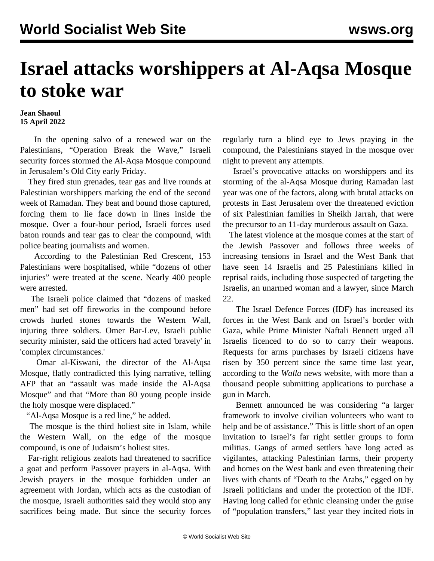## **Israel attacks worshippers at Al-Aqsa Mosque to stoke war**

## **Jean Shaoul 15 April 2022**

 In the opening salvo of a renewed war on the Palestinians, "Operation Break the Wave," Israeli security forces stormed the Al-Aqsa Mosque compound in Jerusalem's Old City early Friday.

 They fired stun grenades, tear gas and live rounds at Palestinian worshippers marking the end of the second week of Ramadan. They beat and bound those captured, forcing them to lie face down in lines inside the mosque. Over a four-hour period, Israeli forces used baton rounds and tear gas to clear the compound, with police beating journalists and women.

 According to the Palestinian Red Crescent, 153 Palestinians were hospitalised, while "dozens of other injuries" were treated at the scene. Nearly 400 people were arrested.

 The Israeli police claimed that "dozens of masked men" had set off fireworks in the compound before crowds hurled stones towards the Western Wall, injuring three soldiers. Omer Bar-Lev, Israeli public security minister, said the officers had acted 'bravely' in 'complex circumstances.'

 Omar al-Kiswani, the director of the Al-Aqsa Mosque, flatly contradicted this lying narrative, telling AFP that an "assault was made inside the Al-Aqsa Mosque" and that "More than 80 young people inside the holy mosque were displaced."

"Al-Aqsa Mosque is a red line," he added.

 The mosque is the third holiest site in Islam, while the Western Wall, on the edge of the mosque compound, is one of Judaism's holiest sites.

 Far-right religious zealots had threatened to sacrifice a goat and perform Passover prayers in al-Aqsa. With Jewish prayers in the mosque forbidden under an agreement with Jordan, which acts as the custodian of the mosque, Israeli authorities said they would stop any sacrifices being made. But since the security forces regularly turn a blind eye to Jews praying in the compound, the Palestinians stayed in the mosque over night to prevent any attempts.

 Israel's provocative attacks on worshippers and its storming of the al-Aqsa Mosque during Ramadan last year was one of the factors, along with brutal attacks on protests in East Jerusalem over the threatened eviction of six Palestinian families in Sheikh Jarrah, that were the precursor to an 11-day murderous assault on Gaza.

 The latest violence at the mosque comes at the start of the Jewish Passover and follows three weeks of increasing tensions in Israel and the West Bank that have seen 14 Israelis and 25 Palestinians killed in reprisal raids, including those suspected of targeting the Israelis, an unarmed woman and a lawyer, since March 22.

 The Israel Defence Forces (IDF) has increased its forces in the West Bank and on Israel's border with Gaza, while Prime Minister Naftali Bennett urged all Israelis licenced to do so to carry their weapons. Requests for arms purchases by Israeli citizens have risen by 350 percent since the same time last year, according to the *Walla* news website, with more than a thousand people submitting applications to purchase a gun in March.

 Bennett announced he was considering "a larger framework to involve civilian volunteers who want to help and be of assistance." This is little short of an open invitation to Israel's far right settler groups to form militias. Gangs of armed settlers have long acted as vigilantes, attacking Palestinian farms, their property and homes on the West bank and even threatening their lives with chants of "Death to the Arabs," egged on by Israeli politicians and under the protection of the IDF. Having long called for ethnic cleansing under the guise of "population transfers," last year they incited riots in